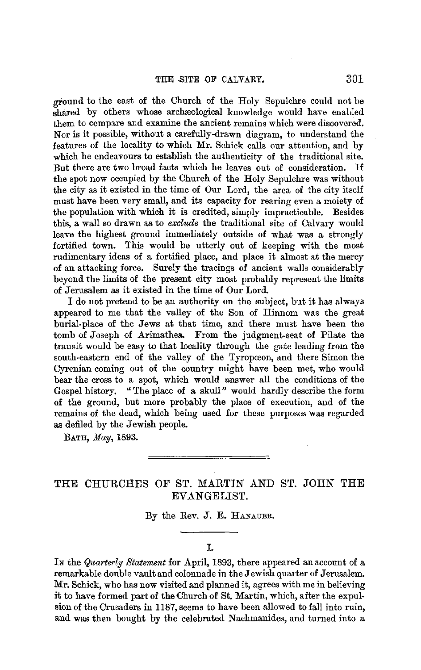ground to the east of the Church of the Holy Sepulchre could not be shared by others whose archaeological knowledge would have enabled them to compare and examine the ancient remains which were discovered. Nor is it possible, without a carefully-drawn diagram, to understand the features of the locality to which Mr. Schick calls our attention, and by which he endeavours to establish the authenticity of the traditional site. But there are two broad facts which be leaves out of consideration. If the spot now occupied by the Church of the Holy Sepulchre was without the city as it existed in the time of Our Lord, the area of the city itself must have been very small, and its capacity for rearing even a moiety of the population with which it is credited, simply impracticable. Besides this, a wall so drawn as to *exclude* the traditional site of Calvary would leave the highest ground immediately outside of what was a strongly fortified town. This would be utterly out of keeping with the most rudimentary ideas of a fortified place, and place it almost at the mercy of an attacking force. Surely the tracings of ancient walls considerably beyond the limits of the present city most probably represent the limits of Jerusalem as it existed in the time of Our Lord.

I do not pretend to be an authority on the subject, but it has always appeared to me that the valley of the Son of Hinnom was the great burial-place of the Jews at that time, and there must have been the tomb of Joseph of Arimathea. From the judgment-seat of Pilate the transit would be easy to that locality through the gate leading from the south-eastern end of the valley of the Tyropceon, and there Simon the Cyrenian coming out of the country might have been met, who would bear the cross to a spot, which would answer all the conditions of the Gospel history. " The place of a skull" would hardly describe the form of the ground, but more probably the place of execution, and of the remains of the dead, which being used for these purposes was regarded as defiled by the Jewish people.

:BATH, *May,* 1893.

# THE CHURCHES OF ST. MARTIN AND ST. JOHN THE EVANGELIST.

By the Rev. J. E. HANAUER.

IN the *Quarterly Statement* for April, 1893, there appeared an account of a remarkable double vault and colonnade in the Jewish quarter of Jerusalem. Mr. Schick, who has now visited and planned it, agrees with me in believing it to have formed part of the Church of St. Martin, which, after the expulsion of the Crusaders in 1187, seems to have been allowed to fall into ruin, and was then bought by the celebrated Nachmanides, and turned into a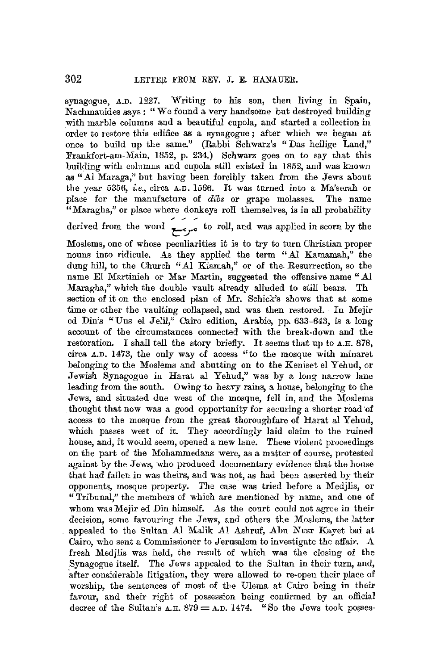synagogue, A.D. 1227. Writing to his son, then living in Spain, Nachmanides says : "We found a very handsome but destroyed building with marble columns and a beautiful cupola, and started a collection in order to restore this edifice as a synagogue; after which we began at once to build up the same.'' (Rabbi Schwarz's " Das heilige Land," Frankfort-am-Main, 1852, p. 234.) Schwarz goes on to say that this building with columns and cupola still existed in 1852, and was known as "Al Maraga," but having been forcibly taken from the Jews about the year 5356, *i.e.*, circa A.D. 1566. It was turned into a Ma'serah or place for the manufacture of *dibs* or grape molasses. The name place for the manufacture of *dibs* or grape molasses. "Maragha," or place where donkeys roll themselves, is in all probability derived from the word  $\overrightarrow{C}$  to roll, and was applied in scorn by the

Moslems, one of whose peculiarities it is to try to turn Christian proper nouns into ridicule. As they applied the term "Al Kamamah," the dung hill, to the Church "Al Kiamah," or of the Resurrection, so the name El Martinieh or Mar Martin, suggested the offensive name " Al Maragha," which the double vault already alluded to still bears. Th section of it on the enclosed plan of Mr. Schick's shows that at some time or other the vaulting collapsed, and was then restored. In Mejir ed Din's "Uus el Jelil," Cairo edition, Arabic, pp. 633-643, is a long account of the circumstances connected with the break-down and the restoration. I shall tell the story briefly. It seems that up to A.H. 878, circa A.D. 1473, the only way of access "to the mosque with minaret belonging to the Moslems and abutting on to the Keniset el Yehud, or Jewish Synagogue in Harat al Yehud," was by a long narrow lane leading from the south. Owing to heavy rains, a house, belonging to the Jews, and situated due west of the mosque, fell in, and the Moslems thought that now was a good opportunity for securing a shorter road of access to the mosque from the great thoroughfare of Harat al Yehud, which passes west of it. They accordingly laid claim to the ruined house, and, it would seem, opened a new lane. These violent proceedings on the part of the Mohammedans were, as a matter of course, protested against by the Jews, who produced documentary evidence that the house that had fallen in was theirs, and was not, as had been asserted by their opponents, mosque property. The case was tried before a Medjlis, or "Tribunal," the members of which are mentioned by name, and one of whom was Mejir ed Din himself. As the court could not agree in their decision, some favouring the Jews, and others the Moslems, the latter appealed to the Sultan Al Malik Al Ashruf, Abu Nusr Kayet bai at Cairo, who sent a Commissioner to Jerusalem to investigate the affair. A fresh Medjlis was held, the result of which was the closing of the Synagogue itself. The Jews appealed to the Sultan in their turn, and, after considerable litigation, they were allowed to re-open their place of worship, the sentences of most of the Ulema at Cairo being in their favour, and their right of possession being confirmed by an official decree of the Sultan's  $A.H. 879 = A.D. 1474.$  "So the Jews took posses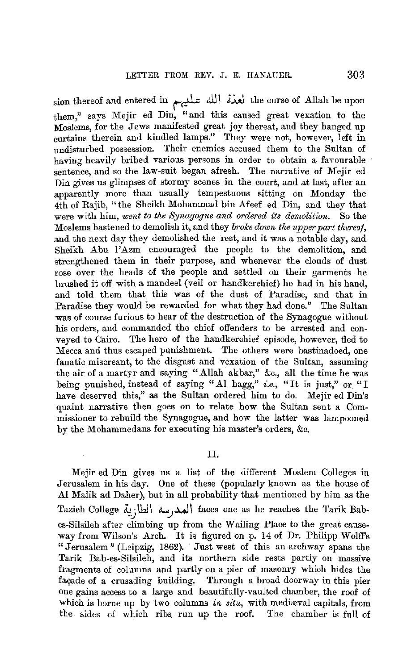$\sin$  the curse of Allah be upon لمعدَّة الله علميهم in thereof and entered in them," says Mejir ed Din, "and this caused great vexation to the Moslems, for the Jews manifested great joy thereat, and they hanged up curtains therein and kindled lamps." They were not, however, left in undisturbed possession. Their enemies accused them to the Sultan of having heavily bribed various persons in order to obtain a favourable sentence, and so the law-suit began afresh. The narrative of Mejir ed Din gives us glimpses of stormy scenes in the court, and at last, after an apparently more than usually tempestuous sitting on Monday the 4th of Rajib, "the Sheikh Mohammad bin Afeef ed Din, and they that were with him, went to the Synagogue and ordered its demolition. So the Moslems hastened to demolish it, and they *broke down the upper part thereof*, and the next day they demolished the rest, and it was a notable day, and Sheikh Abu l'Azm encouraged the people to the demolition, and strengthened them in their purpose, and whenever the clouds of dust rose over the heads of the people and settled on their garments he brushed it off with a mandeel (veil or handkerchief) he had in his hand, and told them that this was of the dust of Paradise, and that in Paradise they would be rewarded for what they had done." The Sultan was of course furious to hear of the destruction of the Synagogue without his orders, and commanded the chief offenders to be arrested and conveyed to Cairo. The hero of the handkerchief episode, however, fled to Mecca and thus escaped punishment. The others were bastinadoed, one fanatic miscreant, to the disgust and vexation of the Sultan, assuming the air of a martyr and saying "Allah akbar," &c., all the time he was being punished, instead of saying "Al hagg," *i.e.,* "It is just," or, "I have deserved this," as the Sultan ordered him to do. Mejir ed Din's quaint narrative then goes on to relate how the Sultan sent a Commissioner to rebuild the Synagogue, and how the latter was lampooned by the Mohammedans for executing his master's orders, &c.

### II.

Mejir ed Din gives us a list of the different Moslem Colleges in Jerusalem in his day. One of these (popularly known as the house of Al Malik ad Daher), but in all probability that mentioned by him as the Tazieh College العدرسة الطا<sub>ز</sub>ية faces one as he reaches the Tarik Babes-Silsileh after climbing up from the Wailing Place to the great causeway from Wilson's Arch. It is figured on p. 14 of Dr. Philipp Wolff's "Jerusalem" (Leipzig, 1862). Just west of this an archway spans the Tarik Bab-es-Silsileh, and its northern side rests partly on massive fragments of columns and partly on a pier of masonry which hides the façade of a crusading building. Through a broad doorway in this pier one gains access to a large and beautifully-vaulted chamber, the roof of which is borne up by two columns in situ, with mediaval capitals, from the sides of which ribs run up the roof. The chamber is full of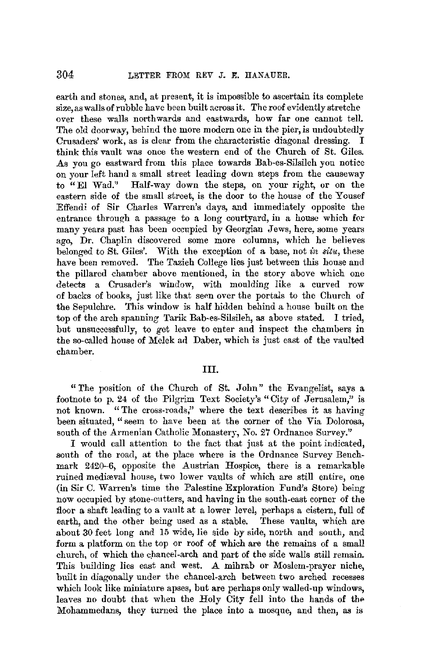earth and stones, and, at present, it is impossible to ascertain its complete size,aswalls ofrubble have been built across it. The roof evidently stretche over these walls northwards and eastwards, how far one cannot telL The old doorway, behind the more modern one in the pier, is undoubtedly Crusaders' work, as is clear from the characteristic diagonal dressing. I think this vault was once the western end of the Church of St. Giles. As you go eastward from this place towards Bab-es-Silsileh you notice on your left hand a small street leading down steps from the causeway to "El Wad." Half-way down the steps, on your right, or on the eastern side of the small street, is the door to the house of the Yousef Effendi of Sir Charles Warren's days, and immediately opposite the entrance through a passage to a long courtyard, in a house which for many years past has been occupied by Georgian Jews, here, some years ago, Dr. Chaplin discovered some more columns, which he believes belonged to St. Giles'. With the exception of a base, not *in situ,* these have been removed. The Tazieh College lies just between this house and the pillared chamber above mentioned, in the story above which one detects a Crusader's window, with moulding like a curved row of backs of books, just like that seen over the portals to the Church of the Sepulchre. This window is half hidden behind a house built on the top of the arch spanning Tarik Bab-es-Silsileh, as above stated. I tried, but unsuccessfully, to get leave to enter and inspect the chambers in the so-called house of Melek ad Daber, which is just east of the vaulted chamber.

#### III.

" The position of the Church of St. John" the Evangelist, says a footnote to p. 24 of the Pilgrim Text Society's "City of Jerusalem," is not known. "The cross-roads," where the text describes it as having been situated, "seem to have been at the corner of the Via Dolorosa, south of the Armenian Catholic Monastery, No. 27 Ordnance Survey."

I would call attention to the fact that just at the point indicated, south of the road, at the place where is the Ordnance Survey Benchmark 2420-6, opposite the Austrian Hospice, there is a remarkable ruined mediæval house, two lower vaults of which are still entire, one (in Sir C. Warren's time the Palestine Exploration Fund's Store) being now occupied by stone-cutters, and having in the south-east corner of the floor a shaft leading to a vault at a lower level, perhaps a cistern, full of earth, and the other being used as a stable. These vaults, which are about 30 feet long and 15 wide, lie side by side, north and south, and form a platform on the top or roof of which are the remains of a small church, of which the chancel-arch and part of the side walls still remain. This building lies east and west. A mihrab or Moslem-prayer niche, built in diagonally under the chancel-arch between two arched recesses which look like miniature apses, but are perhaps only walled-up windows, leaves no doubt that when the Holy City fell into the hands of the Mohammedans, they iurned the place into a mosque, and then, as is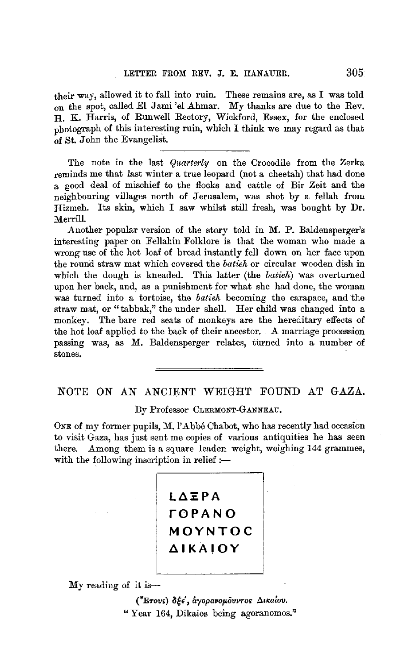their way, allowed it to fall into ruin. These remains are, as I was told on the spot, called El Jami 'el Ahmar. My thanks are due to the Rev. H. K. Harris, of Runwell Rectory, Wickford, Essex, for the enclosed photograph of this interesting ruin, which I think we may regard as that of St. John the Evangelist.

The note in the last *Quarterly* on the Crocodile from the Zerka reminds me that last winter a true leopard (not a cheetah) that had done a good deal of mischief to the flocks and cattle of Bir Zeit and the neighbouring villages north of Jerusalem, was shot by a fellah from Hizmeh. Its skin, which I saw whilst still fresh, was bought by Dr. Merrill.

Another popular version of the story told in M. P. Baldensperger's interesting paper on Fellahin Folklore is that the woman who made a wrong use of the hot loaf of bread instantly fell down on her face upon the round straw mat which covered the *batwh* or circular wooden dish in which the dough is kneaded. This latter (the *batieh)* was overturned upon her back, and, as a punishment for what she had done, the woman was turned into a tortoise, the *batieh* becoming the carapace, and the straw mat, or "tabbak," the under shell. Her child was changed into a monkey. The bare red seats of monkeys are the hereditary effects of the hot loaf applied to the back of their ancestor. A marriage procession passing was, as M. Baldensperger relates, turned into a number of stones.

#### NOTE ON AN ANCIENT WEIGHT FOUND AT GAZA.

By Professor CLERMONT-GANNEAU,

ONE of my former pupils, M. l'Abbé Chabot, who has recently had occasion to visit Gaza, has just sent me copies of various antiquities he has seen there. Among them is a square leaden weight, weighing 144 grammes, with the following inscription in relief  $:=$ 

# **L~i:PA rOPANO MOYNTOC ~IKA!OY**

*My* reading of it is-

("Eτους) δξε΄, αγορανομουντος Δικαίου. "Year 164, Dikaios being agoranomos."